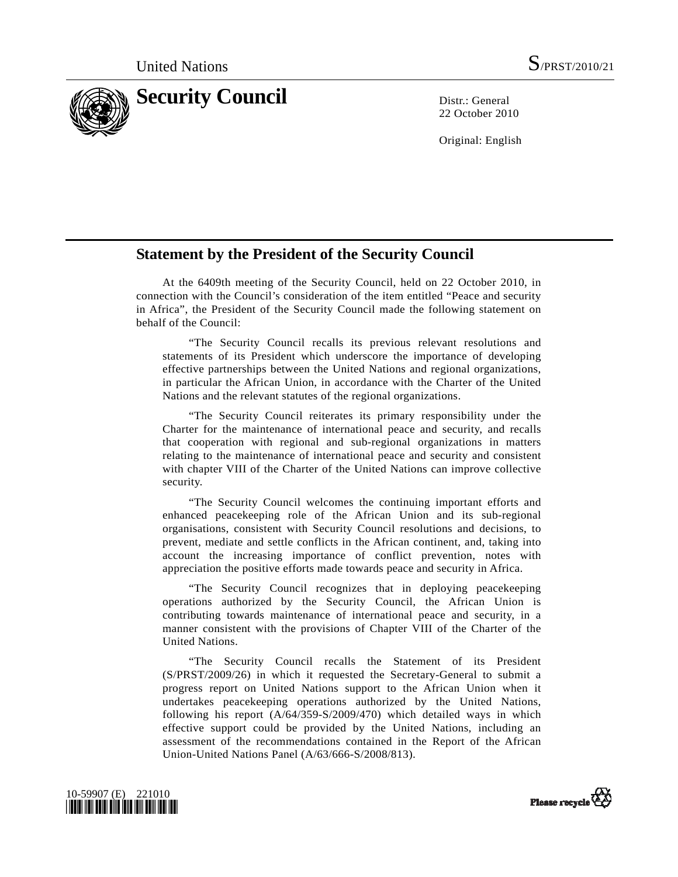

22 October 2010

Original: English

## **Statement by the President of the Security Council**

 At the 6409th meeting of the Security Council, held on 22 October 2010, in connection with the Council's consideration of the item entitled "Peace and security in Africa", the President of the Security Council made the following statement on behalf of the Council:

 "The Security Council recalls its previous relevant resolutions and statements of its President which underscore the importance of developing effective partnerships between the United Nations and regional organizations, in particular the African Union, in accordance with the Charter of the United Nations and the relevant statutes of the regional organizations.

 "The Security Council reiterates its primary responsibility under the Charter for the maintenance of international peace and security, and recalls that cooperation with regional and sub-regional organizations in matters relating to the maintenance of international peace and security and consistent with chapter VIII of the Charter of the United Nations can improve collective security.

 "The Security Council welcomes the continuing important efforts and enhanced peacekeeping role of the African Union and its sub-regional organisations, consistent with Security Council resolutions and decisions, to prevent, mediate and settle conflicts in the African continent, and, taking into account the increasing importance of conflict prevention, notes with appreciation the positive efforts made towards peace and security in Africa.

 "The Security Council recognizes that in deploying peacekeeping operations authorized by the Security Council, the African Union is contributing towards maintenance of international peace and security, in a manner consistent with the provisions of Chapter VIII of the Charter of the United Nations.

 "The Security Council recalls the Statement of its President (S/PRST/2009/26) in which it requested the Secretary-General to submit a progress report on United Nations support to the African Union when it undertakes peacekeeping operations authorized by the United Nations, following his report (A/64/359-S/2009/470) which detailed ways in which effective support could be provided by the United Nations, including an assessment of the recommendations contained in the Report of the African Union-United Nations Panel (A/63/666-S/2008/813).



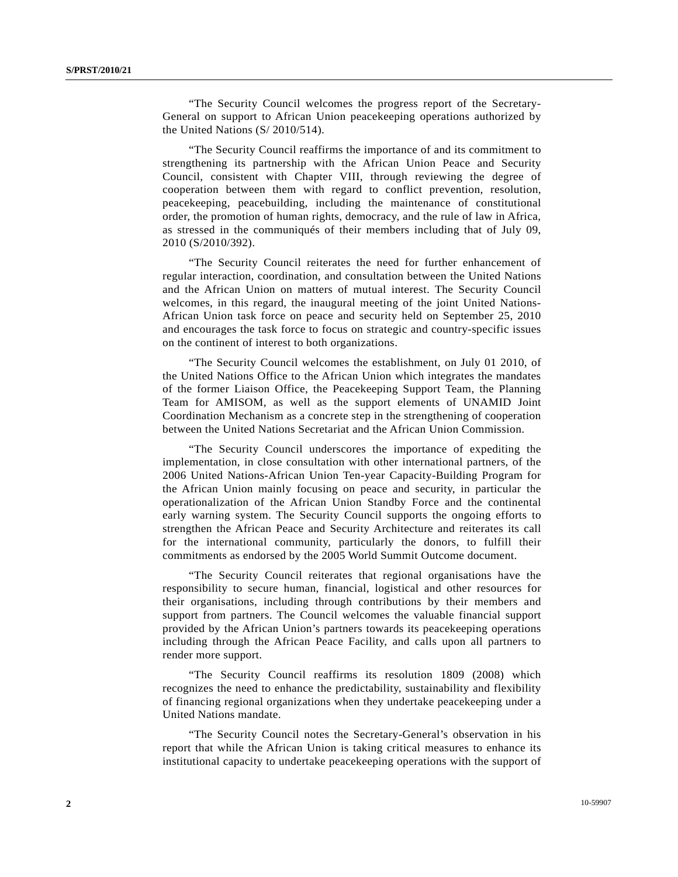"The Security Council welcomes the progress report of the Secretary-General on support to African Union peacekeeping operations authorized by the United Nations (S/ 2010/514).

 "The Security Council reaffirms the importance of and its commitment to strengthening its partnership with the African Union Peace and Security Council, consistent with Chapter VIII, through reviewing the degree of cooperation between them with regard to conflict prevention, resolution, peacekeeping, peacebuilding, including the maintenance of constitutional order, the promotion of human rights, democracy, and the rule of law in Africa, as stressed in the communiqués of their members including that of July 09, 2010 (S/2010/392).

 "The Security Council reiterates the need for further enhancement of regular interaction, coordination, and consultation between the United Nations and the African Union on matters of mutual interest. The Security Council welcomes, in this regard, the inaugural meeting of the joint United Nations-African Union task force on peace and security held on September 25, 2010 and encourages the task force to focus on strategic and country-specific issues on the continent of interest to both organizations.

 "The Security Council welcomes the establishment, on July 01 2010, of the United Nations Office to the African Union which integrates the mandates of the former Liaison Office, the Peacekeeping Support Team, the Planning Team for AMISOM, as well as the support elements of UNAMID Joint Coordination Mechanism as a concrete step in the strengthening of cooperation between the United Nations Secretariat and the African Union Commission.

 "The Security Council underscores the importance of expediting the implementation, in close consultation with other international partners, of the 2006 United Nations-African Union Ten-year Capacity-Building Program for the African Union mainly focusing on peace and security, in particular the operationalization of the African Union Standby Force and the continental early warning system. The Security Council supports the ongoing efforts to strengthen the African Peace and Security Architecture and reiterates its call for the international community, particularly the donors, to fulfill their commitments as endorsed by the 2005 World Summit Outcome document.

 "The Security Council reiterates that regional organisations have the responsibility to secure human, financial, logistical and other resources for their organisations, including through contributions by their members and support from partners. The Council welcomes the valuable financial support provided by the African Union's partners towards its peacekeeping operations including through the African Peace Facility, and calls upon all partners to render more support.

 "The Security Council reaffirms its resolution 1809 (2008) which recognizes the need to enhance the predictability, sustainability and flexibility of financing regional organizations when they undertake peacekeeping under a United Nations mandate.

 "The Security Council notes the Secretary-General's observation in his report that while the African Union is taking critical measures to enhance its institutional capacity to undertake peacekeeping operations with the support of